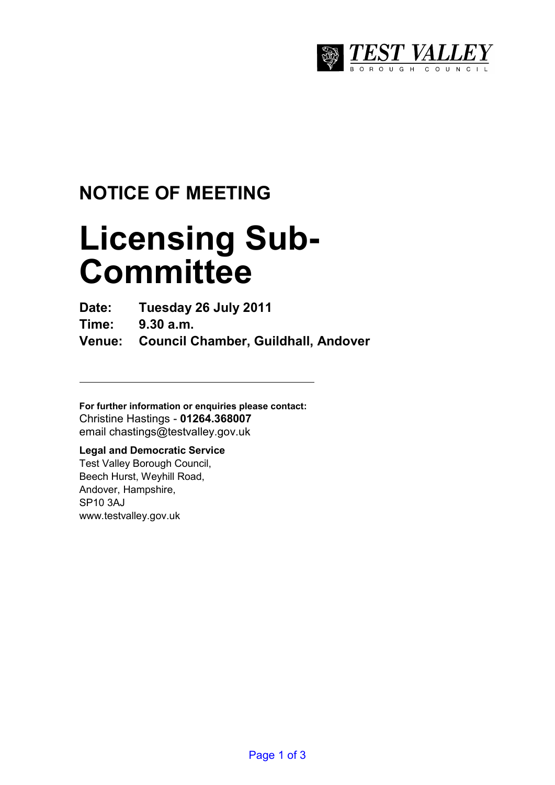

## **NOTICE OF MEETING**

# **Licensing Sub-Committee**

**Date: Tuesday 26 July 2011** 

**Time: 9.30 a.m.** 

**Venue: Council Chamber, Guildhall, Andover** 

**For further information or enquiries please contact:**  Christine Hastings - **01264.368007** email chastings@testvalley.gov.uk

### **Legal and Democratic Service**

Test Valley Borough Council, Beech Hurst, Weyhill Road, Andover, Hampshire, SP10 3AJ www.testvalley.gov.uk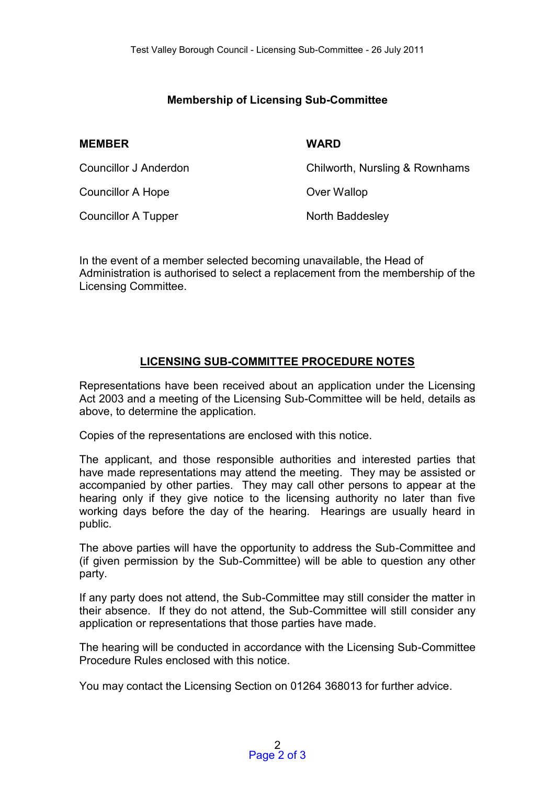#### **Membership of Licensing Sub-Committee**

#### **MEMBER WARD**

| Councillor J Anderdon      | Chilworth, Nursling & Rownhams |
|----------------------------|--------------------------------|
| Councillor A Hope          | Over Wallop                    |
| <b>Councillor A Tupper</b> | North Baddesley                |

In the event of a member selected becoming unavailable, the Head of Administration is authorised to select a replacement from the membership of the Licensing Committee.

#### **LICENSING SUB-COMMITTEE PROCEDURE NOTES**

Representations have been received about an application under the Licensing Act 2003 and a meeting of the Licensing Sub-Committee will be held, details as above, to determine the application.

Copies of the representations are enclosed with this notice.

The applicant, and those responsible authorities and interested parties that have made representations may attend the meeting. They may be assisted or accompanied by other parties. They may call other persons to appear at the hearing only if they give notice to the licensing authority no later than five working days before the day of the hearing. Hearings are usually heard in public.

The above parties will have the opportunity to address the Sub-Committee and (if given permission by the Sub-Committee) will be able to question any other party.

If any party does not attend, the Sub-Committee may still consider the matter in their absence. If they do not attend, the Sub-Committee will still consider any application or representations that those parties have made.

The hearing will be conducted in accordance with the Licensing Sub-Committee Procedure Rules enclosed with this notice.

You may contact the Licensing Section on 01264 368013 for further advice.